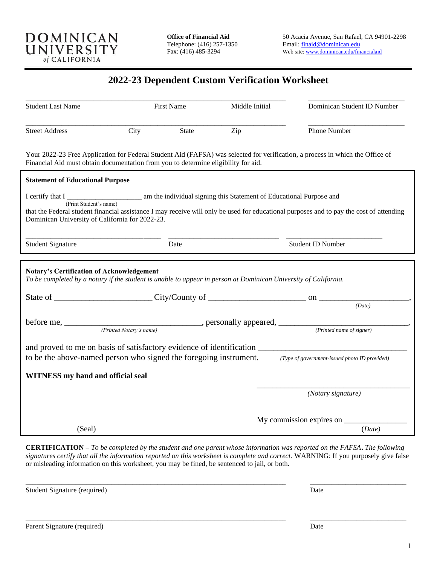

## **2022-23 Dependent Custom Verification Worksheet**

| <b>Student Last Name</b>                         | <b>First Name</b>                                                                                                   | Middle Initial | Dominican Student ID Number                                                                                                                                                                                                    |
|--------------------------------------------------|---------------------------------------------------------------------------------------------------------------------|----------------|--------------------------------------------------------------------------------------------------------------------------------------------------------------------------------------------------------------------------------|
| <b>Street Address</b>                            | City<br>State                                                                                                       | Zip            | Phone Number                                                                                                                                                                                                                   |
|                                                  | Financial Aid must obtain documentation from you to determine eligibility for aid.                                  |                | Your 2022-23 Free Application for Federal Student Aid (FAFSA) was selected for verification, a process in which the Office of                                                                                                  |
| <b>Statement of Educational Purpose</b>          |                                                                                                                     |                |                                                                                                                                                                                                                                |
| Dominican University of California for 2022-23.  | I certify that I results is the individual signing this Statement of Educational Purpose and (Print Student's name) |                | that the Federal student financial assistance I may receive will only be used for educational purposes and to pay the cost of attending                                                                                        |
| <b>Student Signature</b>                         | Date                                                                                                                |                | <b>Student ID Number</b>                                                                                                                                                                                                       |
| <b>Notary's Certification of Acknowledgement</b> | To be completed by a notary if the student is unable to appear in person at Dominican University of California.     |                | State of City/County of City/County of County of County of County of County of City/County of County of County of County of County of County of County of County of County of County of County of County of County of County o |
|                                                  |                                                                                                                     |                | (Date)                                                                                                                                                                                                                         |
|                                                  | before me, <u>Printed Notary's name</u> ), personally appeared, <u>(Printed name of signer)</u>                     |                |                                                                                                                                                                                                                                |
|                                                  |                                                                                                                     |                | to be the above-named person who signed the foregoing instrument. (Type of government-issued photo ID provided)                                                                                                                |
| <b>WITNESS</b> my hand and official seal         |                                                                                                                     |                |                                                                                                                                                                                                                                |
|                                                  |                                                                                                                     |                | (Notary signature)                                                                                                                                                                                                             |
| (Seal)                                           |                                                                                                                     |                | My commission expires on ______<br>(Date)                                                                                                                                                                                      |

**CERTIFICATION –** *To be completed by the student and one parent whose information was reported on the FAFSA***.** *The following signatures certify that all the information reported on this worksheet is complete and correct.* WARNING: If you purposely give false or misleading information on this worksheet, you may be fined, be sentenced to jail, or both.

\_\_\_\_\_\_\_\_\_\_\_\_\_\_\_\_\_\_\_\_\_\_\_\_\_\_\_\_\_\_\_\_\_\_\_\_\_\_\_\_\_\_\_\_\_\_\_\_\_\_\_\_\_\_\_\_\_\_\_\_\_\_\_\_\_\_\_\_\_\_\_\_\_ \_\_\_\_\_\_\_\_\_\_\_\_\_\_\_\_\_\_\_\_\_\_\_\_\_\_\_

\_\_\_\_\_\_\_\_\_\_\_\_\_\_\_\_\_\_\_\_\_\_\_\_\_\_\_\_\_\_\_\_\_\_\_\_\_\_\_\_\_\_\_\_\_\_\_\_\_\_\_\_\_\_\_\_\_\_\_\_\_\_\_\_\_\_\_\_\_\_\_\_\_ \_\_\_\_\_\_\_\_\_\_\_\_\_\_\_\_\_\_\_\_\_\_\_\_\_\_\_

Student Signature (required) Date